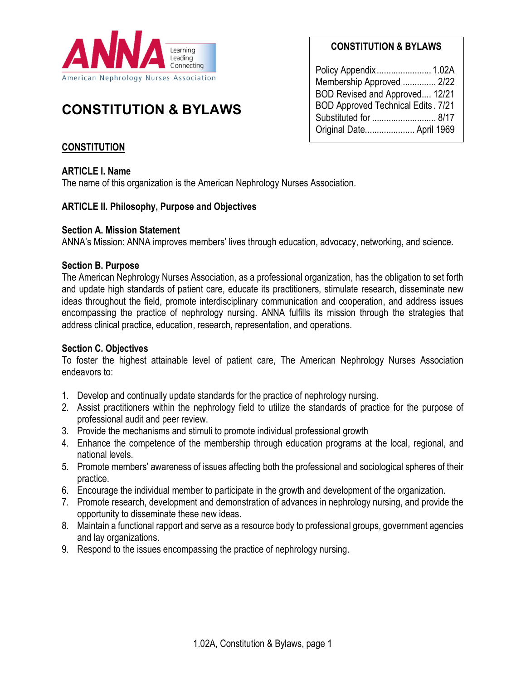

# CONSTITUTION & BYLAWS

# CONSTITUTION & BYLAWS

| Membership Approved  2/22                  |  |
|--------------------------------------------|--|
| BOD Revised and Approved 12/21             |  |
| <b>BOD Approved Technical Edits . 7/21</b> |  |
| Substituted for  8/17                      |  |
| Original Date April 1969                   |  |

# **CONSTITUTION**

## ARTICLE I. Name

The name of this organization is the American Nephrology Nurses Association.

## ARTICLE II. Philosophy, Purpose and Objectives

## Section A. Mission Statement

ANNA's Mission: ANNA improves members' lives through education, advocacy, networking, and science.

## Section B. Purpose

The American Nephrology Nurses Association, as a professional organization, has the obligation to set forth and update high standards of patient care, educate its practitioners, stimulate research, disseminate new ideas throughout the field, promote interdisciplinary communication and cooperation, and address issues encompassing the practice of nephrology nursing. ANNA fulfills its mission through the strategies that address clinical practice, education, research, representation, and operations.

## Section C. Objectives

To foster the highest attainable level of patient care, The American Nephrology Nurses Association endeavors to:

- 1. Develop and continually update standards for the practice of nephrology nursing.
- 2. Assist practitioners within the nephrology field to utilize the standards of practice for the purpose of professional audit and peer review.
- 3. Provide the mechanisms and stimuli to promote individual professional growth
- 4. Enhance the competence of the membership through education programs at the local, regional, and national levels.
- 5. Promote members' awareness of issues affecting both the professional and sociological spheres of their practice.
- 6. Encourage the individual member to participate in the growth and development of the organization.
- 7. Promote research, development and demonstration of advances in nephrology nursing, and provide the opportunity to disseminate these new ideas.
- 8. Maintain a functional rapport and serve as a resource body to professional groups, government agencies and lay organizations.
- 9. Respond to the issues encompassing the practice of nephrology nursing.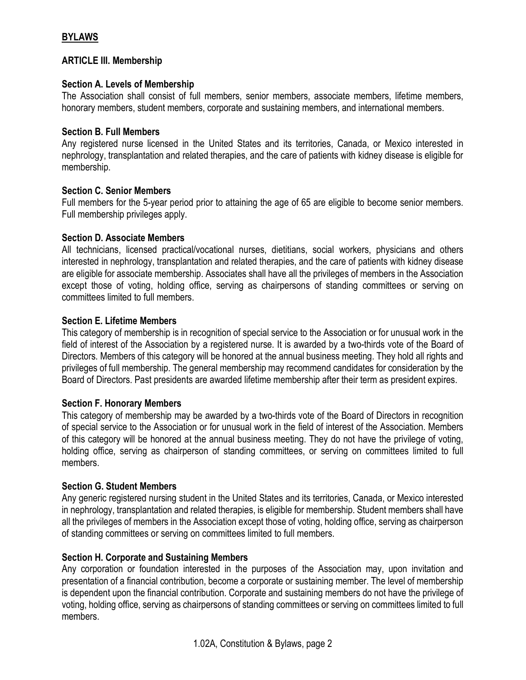## BYLAWS

## ARTICLE III. Membership

## Section A. Levels of Membership

The Association shall consist of full members, senior members, associate members, lifetime members, honorary members, student members, corporate and sustaining members, and international members.

### Section B. Full Members

Any registered nurse licensed in the United States and its territories, Canada, or Mexico interested in nephrology, transplantation and related therapies, and the care of patients with kidney disease is eligible for membership.

## Section C. Senior Members

Full members for the 5-year period prior to attaining the age of 65 are eligible to become senior members. Full membership privileges apply.

## Section D. Associate Members

All technicians, licensed practical/vocational nurses, dietitians, social workers, physicians and others interested in nephrology, transplantation and related therapies, and the care of patients with kidney disease are eligible for associate membership. Associates shall have all the privileges of members in the Association except those of voting, holding office, serving as chairpersons of standing committees or serving on committees limited to full members.

## Section E. Lifetime Members

This category of membership is in recognition of special service to the Association or for unusual work in the field of interest of the Association by a registered nurse. It is awarded by a two-thirds vote of the Board of Directors. Members of this category will be honored at the annual business meeting. They hold all rights and privileges of full membership. The general membership may recommend candidates for consideration by the Board of Directors. Past presidents are awarded lifetime membership after their term as president expires.

#### Section F. Honorary Members

This category of membership may be awarded by a two-thirds vote of the Board of Directors in recognition of special service to the Association or for unusual work in the field of interest of the Association. Members of this category will be honored at the annual business meeting. They do not have the privilege of voting, holding office, serving as chairperson of standing committees, or serving on committees limited to full members.

#### Section G. Student Members

Any generic registered nursing student in the United States and its territories, Canada, or Mexico interested in nephrology, transplantation and related therapies, is eligible for membership. Student members shall have all the privileges of members in the Association except those of voting, holding office, serving as chairperson of standing committees or serving on committees limited to full members.

## Section H. Corporate and Sustaining Members

Any corporation or foundation interested in the purposes of the Association may, upon invitation and presentation of a financial contribution, become a corporate or sustaining member. The level of membership is dependent upon the financial contribution. Corporate and sustaining members do not have the privilege of voting, holding office, serving as chairpersons of standing committees or serving on committees limited to full members.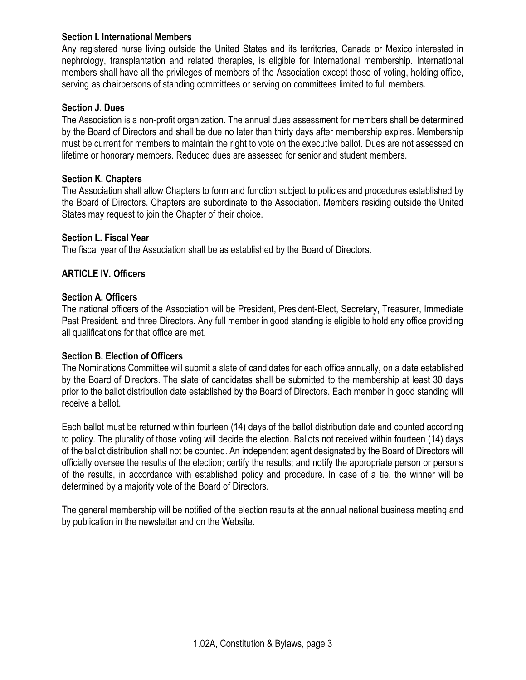## Section I. International Members

Any registered nurse living outside the United States and its territories, Canada or Mexico interested in nephrology, transplantation and related therapies, is eligible for International membership. International members shall have all the privileges of members of the Association except those of voting, holding office, serving as chairpersons of standing committees or serving on committees limited to full members.

#### Section J. Dues

The Association is a non-profit organization. The annual dues assessment for members shall be determined by the Board of Directors and shall be due no later than thirty days after membership expires. Membership must be current for members to maintain the right to vote on the executive ballot. Dues are not assessed on lifetime or honorary members. Reduced dues are assessed for senior and student members.

#### Section K. Chapters

The Association shall allow Chapters to form and function subject to policies and procedures established by the Board of Directors. Chapters are subordinate to the Association. Members residing outside the United States may request to join the Chapter of their choice.

#### Section L. Fiscal Year

The fiscal year of the Association shall be as established by the Board of Directors.

## ARTICLE IV. Officers

#### Section A. Officers

The national officers of the Association will be President, President-Elect, Secretary, Treasurer, Immediate Past President, and three Directors. Any full member in good standing is eligible to hold any office providing all qualifications for that office are met.

#### Section B. Election of Officers

The Nominations Committee will submit a slate of candidates for each office annually, on a date established by the Board of Directors. The slate of candidates shall be submitted to the membership at least 30 days prior to the ballot distribution date established by the Board of Directors. Each member in good standing will receive a ballot.

Each ballot must be returned within fourteen (14) days of the ballot distribution date and counted according to policy. The plurality of those voting will decide the election. Ballots not received within fourteen (14) days of the ballot distribution shall not be counted. An independent agent designated by the Board of Directors will officially oversee the results of the election; certify the results; and notify the appropriate person or persons of the results, in accordance with established policy and procedure. In case of a tie, the winner will be determined by a majority vote of the Board of Directors.

The general membership will be notified of the election results at the annual national business meeting and by publication in the newsletter and on the Website.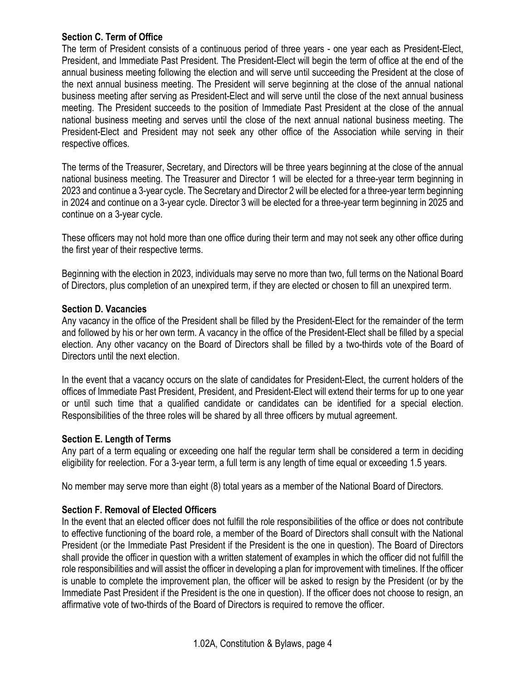## Section C. Term of Office

The term of President consists of a continuous period of three years - one year each as President-Elect, President, and Immediate Past President. The President-Elect will begin the term of office at the end of the annual business meeting following the election and will serve until succeeding the President at the close of the next annual business meeting. The President will serve beginning at the close of the annual national business meeting after serving as President-Elect and will serve until the close of the next annual business meeting. The President succeeds to the position of Immediate Past President at the close of the annual national business meeting and serves until the close of the next annual national business meeting. The President-Elect and President may not seek any other office of the Association while serving in their respective offices.

The terms of the Treasurer, Secretary, and Directors will be three years beginning at the close of the annual national business meeting. The Treasurer and Director 1 will be elected for a three-year term beginning in 2023 and continue a 3-year cycle. The Secretary and Director 2 will be elected for a three-year term beginning in 2024 and continue on a 3-year cycle. Director 3 will be elected for a three-year term beginning in 2025 and continue on a 3-year cycle.

These officers may not hold more than one office during their term and may not seek any other office during the first year of their respective terms.

Beginning with the election in 2023, individuals may serve no more than two, full terms on the National Board of Directors, plus completion of an unexpired term, if they are elected or chosen to fill an unexpired term.

#### Section D. Vacancies

Any vacancy in the office of the President shall be filled by the President-Elect for the remainder of the term and followed by his or her own term. A vacancy in the office of the President-Elect shall be filled by a special election. Any other vacancy on the Board of Directors shall be filled by a two-thirds vote of the Board of Directors until the next election.

In the event that a vacancy occurs on the slate of candidates for President-Elect, the current holders of the offices of Immediate Past President, President, and President-Elect will extend their terms for up to one year or until such time that a qualified candidate or candidates can be identified for a special election. Responsibilities of the three roles will be shared by all three officers by mutual agreement.

## Section E. Length of Terms

Any part of a term equaling or exceeding one half the regular term shall be considered a term in deciding eligibility for reelection. For a 3-year term, a full term is any length of time equal or exceeding 1.5 years.

No member may serve more than eight (8) total years as a member of the National Board of Directors.

## Section F. Removal of Elected Officers

In the event that an elected officer does not fulfill the role responsibilities of the office or does not contribute to effective functioning of the board role, a member of the Board of Directors shall consult with the National President (or the Immediate Past President if the President is the one in question). The Board of Directors shall provide the officer in question with a written statement of examples in which the officer did not fulfill the role responsibilities and will assist the officer in developing a plan for improvement with timelines. If the officer is unable to complete the improvement plan, the officer will be asked to resign by the President (or by the Immediate Past President if the President is the one in question). If the officer does not choose to resign, an affirmative vote of two-thirds of the Board of Directors is required to remove the officer.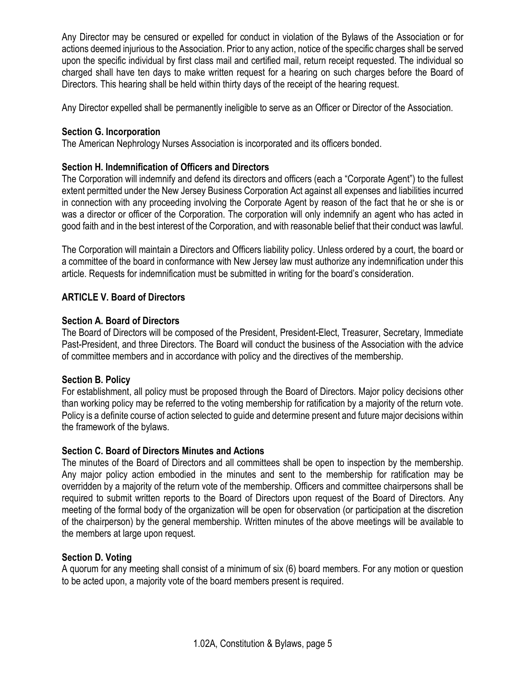Any Director may be censured or expelled for conduct in violation of the Bylaws of the Association or for actions deemed injurious to the Association. Prior to any action, notice of the specific charges shall be served upon the specific individual by first class mail and certified mail, return receipt requested. The individual so charged shall have ten days to make written request for a hearing on such charges before the Board of Directors. This hearing shall be held within thirty days of the receipt of the hearing request.

Any Director expelled shall be permanently ineligible to serve as an Officer or Director of the Association.

# Section G. Incorporation

The American Nephrology Nurses Association is incorporated and its officers bonded.

# Section H. Indemnification of Officers and Directors

The Corporation will indemnify and defend its directors and officers (each a "Corporate Agent") to the fullest extent permitted under the New Jersey Business Corporation Act against all expenses and liabilities incurred in connection with any proceeding involving the Corporate Agent by reason of the fact that he or she is or was a director or officer of the Corporation. The corporation will only indemnify an agent who has acted in good faith and in the best interest of the Corporation, and with reasonable belief that their conduct was lawful.

The Corporation will maintain a Directors and Officers liability policy. Unless ordered by a court, the board or a committee of the board in conformance with New Jersey law must authorize any indemnification under this article. Requests for indemnification must be submitted in writing for the board's consideration.

# ARTICLE V. Board of Directors

# Section A. Board of Directors

The Board of Directors will be composed of the President, President-Elect, Treasurer, Secretary, Immediate Past-President, and three Directors. The Board will conduct the business of the Association with the advice of committee members and in accordance with policy and the directives of the membership.

# Section B. Policy

For establishment, all policy must be proposed through the Board of Directors. Major policy decisions other than working policy may be referred to the voting membership for ratification by a majority of the return vote. Policy is a definite course of action selected to guide and determine present and future major decisions within the framework of the bylaws.

## Section C. Board of Directors Minutes and Actions

The minutes of the Board of Directors and all committees shall be open to inspection by the membership. Any major policy action embodied in the minutes and sent to the membership for ratification may be overridden by a majority of the return vote of the membership. Officers and committee chairpersons shall be required to submit written reports to the Board of Directors upon request of the Board of Directors. Any meeting of the formal body of the organization will be open for observation (or participation at the discretion of the chairperson) by the general membership. Written minutes of the above meetings will be available to the members at large upon request.

# Section D. Voting

A quorum for any meeting shall consist of a minimum of six (6) board members. For any motion or question to be acted upon, a majority vote of the board members present is required.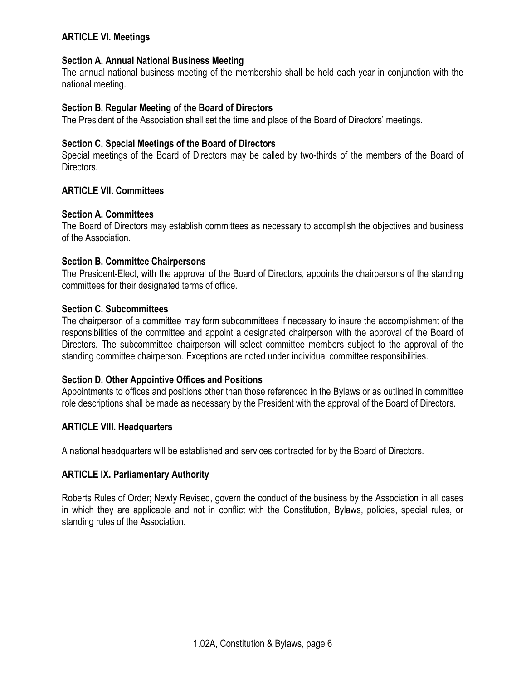## ARTICLE VI. Meetings

## Section A. Annual National Business Meeting

The annual national business meeting of the membership shall be held each year in conjunction with the national meeting.

## Section B. Regular Meeting of the Board of Directors

The President of the Association shall set the time and place of the Board of Directors' meetings.

## Section C. Special Meetings of the Board of Directors

Special meetings of the Board of Directors may be called by two-thirds of the members of the Board of Directors.

## ARTICLE VII. Committees

#### Section A. Committees

The Board of Directors may establish committees as necessary to accomplish the objectives and business of the Association.

#### Section B. Committee Chairpersons

The President-Elect, with the approval of the Board of Directors, appoints the chairpersons of the standing committees for their designated terms of office.

## Section C. Subcommittees

The chairperson of a committee may form subcommittees if necessary to insure the accomplishment of the responsibilities of the committee and appoint a designated chairperson with the approval of the Board of Directors. The subcommittee chairperson will select committee members subject to the approval of the standing committee chairperson. Exceptions are noted under individual committee responsibilities.

## Section D. Other Appointive Offices and Positions

Appointments to offices and positions other than those referenced in the Bylaws or as outlined in committee role descriptions shall be made as necessary by the President with the approval of the Board of Directors.

#### ARTICLE VIII. Headquarters

A national headquarters will be established and services contracted for by the Board of Directors.

## ARTICLE IX. Parliamentary Authority

Roberts Rules of Order; Newly Revised, govern the conduct of the business by the Association in all cases in which they are applicable and not in conflict with the Constitution, Bylaws, policies, special rules, or standing rules of the Association.